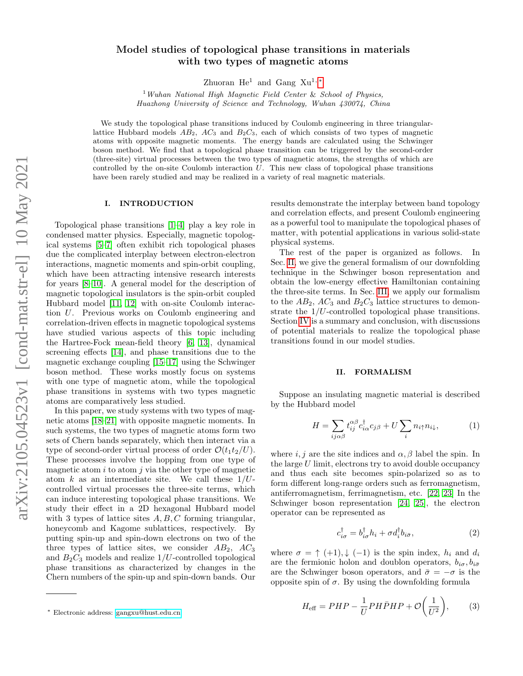# Model studies of topological phase transitions in materials with two types of magnetic atoms

Zhuoran He<sup>1</sup> and Gang Xu<sup>1,\*</sup>

 $1$  Wuhan National High Magnetic Field Center & School of Physics, Huazhong University of Science and Technology, Wuhan 430074, China

We study the topological phase transitions induced by Coulomb engineering in three triangularlattice Hubbard models  $AB_2$ ,  $AC_3$  and  $B_2C_3$ , each of which consists of two types of magnetic atoms with opposite magnetic moments. The energy bands are calculated using the Schwinger boson method. We find that a topological phase transition can be triggered by the second-order (three-site) virtual processes between the two types of magnetic atoms, the strengths of which are controlled by the on-site Coulomb interaction  $U$ . This new class of topological phase transitions have been rarely studied and may be realized in a variety of real magnetic materials.

#### I. INTRODUCTION

Topological phase transitions [\[1–](#page-6-0)[4\]](#page-6-1) play a key role in condensed matter physics. Especially, magnetic topological systems [\[5](#page-6-2)[–7\]](#page-6-3) often exhibit rich topological phases due the complicated interplay between electron-electron interactions, magnetic moments and spin-orbit coupling, which have been attracting intensive research interests for years [\[8–](#page-6-4)[10\]](#page-6-5). A general model for the description of magnetic topological insulators is the spin-orbit coupled Hubbard model [\[11,](#page-6-6) [12\]](#page-6-7) with on-site Coulomb interaction U. Previous works on Coulomb engineering and correlation-driven effects in magnetic topological systems have studied various aspects of this topic including the Hartree-Fock mean-field theory [\[6,](#page-6-8) [13\]](#page-6-9), dynamical screening effects [\[14\]](#page-6-10), and phase transitions due to the magnetic exchange coupling [\[15](#page-6-11)[–17\]](#page-6-12) using the Schwinger boson method. These works mostly focus on systems with one type of magnetic atom, while the topological phase transitions in systems with two types magnetic atoms are comparatively less studied.

In this paper, we study systems with two types of magnetic atoms [\[18–](#page-6-13)[21\]](#page-6-14) with opposite magnetic moments. In such systems, the two types of magnetic atoms form two sets of Chern bands separately, which then interact via a type of second-order virtual process of order  $\mathcal{O}(t_1t_2/U)$ . These processes involve the hopping from one type of magnetic atom  $i$  to atom  $j$  via the other type of magnetic atom k as an intermediate site. We call these  $1/U$ controlled virtual processes the three-site terms, which can induce interesting topological phase transitions. We study their effect in a 2D hexagonal Hubbard model with 3 types of lattice sites  $A, B, C$  forming triangular, honeycomb and Kagome sublattices, respectively. By putting spin-up and spin-down electrons on two of the three types of lattice sites, we consider  $AB_2$ ,  $AC_3$ and  $B_2C_3$  models and realize  $1/U$ -controlled topological phase transitions as characterized by changes in the Chern numbers of the spin-up and spin-down bands. Our

results demonstrate the interplay between band topology and correlation effects, and present Coulomb engineering as a powerful tool to manipulate the topological phases of matter, with potential applications in various solid-state physical systems.

The rest of the paper is organized as follows. In Sec. [II,](#page-0-1) we give the general formalism of our downfolding technique in the Schwinger boson representation and obtain the low-energy effective Hamiltonian containing the three-site terms. In Sec. [III,](#page-1-0) we apply our formalism to the  $AB_2$ ,  $AC_3$  and  $B_2C_3$  lattice structures to demonstrate the 1/U-controlled topological phase transitions. Section [IV](#page-4-0) is a summary and conclusion, with discussions of potential materials to realize the topological phase transitions found in our model studies.

#### <span id="page-0-2"></span><span id="page-0-1"></span>II. FORMALISM

Suppose an insulating magnetic material is described by the Hubbard model

$$
H = \sum_{ij\alpha\beta} t_{ij}^{\alpha\beta} c_{i\alpha}^{\dagger} c_{j\beta} + U \sum_{i} n_{i\uparrow} n_{i\downarrow}, \tag{1}
$$

where  $i, j$  are the site indices and  $\alpha, \beta$  label the spin. In the large  $U$  limit, electrons try to avoid double occupancy and thus each site becomes spin-polarized so as to form different long-range orders such as ferromagnetism, antiferromagnetism, ferrimagnetism, etc. [\[22,](#page-6-15) [23\]](#page-6-16) In the Schwinger boson representation [\[24,](#page-7-0) [25\]](#page-7-1), the electron operator can be represented as

<span id="page-0-4"></span><span id="page-0-3"></span>
$$
c_{i\sigma}^{\dagger} = b_{i\sigma}^{\dagger} h_i + \sigma d_i^{\dagger} b_{i\bar{\sigma}}, \qquad (2)
$$

where  $\sigma = \uparrow (+1), \downarrow (-1)$  is the spin index,  $h_i$  and  $d_i$ are the fermionic holon and doublon operators,  $b_{i\sigma}, b_{i\bar{\sigma}}$ are the Schwinger boson operators, and  $\bar{\sigma} = -\sigma$  is the opposite spin of σ. By using the downfolding formula

$$
H_{\text{eff}} = PHP - \frac{1}{U} PH\bar{P}HP + \mathcal{O}\left(\frac{1}{U^2}\right),\tag{3}
$$

<span id="page-0-0"></span><sup>∗</sup> Electronic address: [gangxu@hust.edu.cn](mailto:gangxu@hust.edu.cn)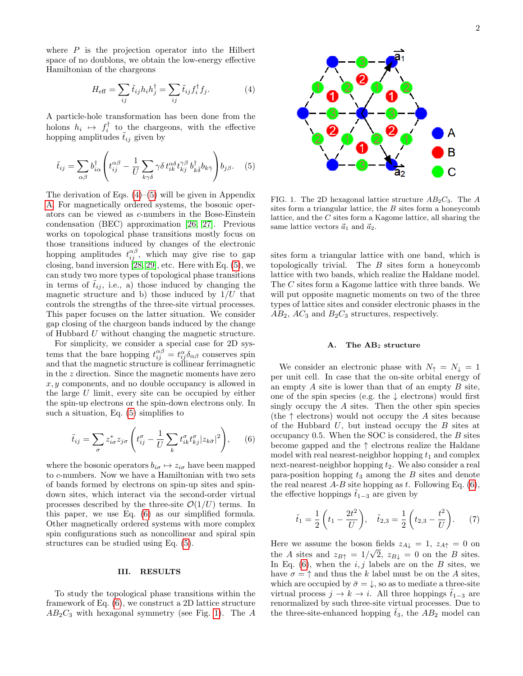where  $P$  is the projection operator into the Hilbert space of no doublons, we obtain the low-energy effective Hamiltonian of the chargeons

$$
H_{\text{eff}} = \sum_{ij} \tilde{t}_{ij} h_i h_j^{\dagger} = \sum_{ij} \tilde{t}_{ij} f_i^{\dagger} f_j.
$$
 (4)

A particle-hole transformation has been done from the holons  $h_i \mapsto f_i^{\dagger}$  to the chargeons, with the effective hopping amplitudes  $\tilde{t}_{ij}$  given by

$$
\tilde{t}_{ij} = \sum_{\alpha\beta} b_{i\alpha}^{\dagger} \left( t_{ij}^{\alpha\beta} - \frac{1}{U} \sum_{k\gamma\delta} \gamma \delta t_{ik}^{\alpha\delta} t_{kj}^{\gamma\beta} b_{k\overline{\delta}}^{\dagger} b_{k\overline{\gamma}} \right) b_{j\beta}.
$$
 (5)

The derivation of Eqs.  $(4)$ – $(5)$  will be given in Appendix [A.](#page-5-0) For magnetically ordered systems, the bosonic operators can be viewed as c-numbers in the Bose-Einstein condensation (BEC) approximation [\[26,](#page-7-2) [27\]](#page-7-3). Previous works on topological phase transitions mostly focus on those transitions induced by changes of the electronic hopping amplitudes  $t_{ij}^{\alpha\beta}$ , which may give rise to gap closing, band inversion [\[28,](#page-7-4) [29\]](#page-7-5), etc. Here with Eq. [\(5\)](#page-1-2), we can study two more types of topological phase transitions in terms of  $t_{ij}$ , i.e., a) those induced by changing the magnetic structure and b) those induced by  $1/U$  that controls the strengths of the three-site virtual processes. This paper focuses on the latter situation. We consider gap closing of the chargeon bands induced by the change of Hubbard U without changing the magnetic structure.

For simplicity, we consider a special case for 2D systems that the bare hopping  $t_{ij}^{\alpha\beta} = t_{ij}^{\alpha} \delta_{\alpha\beta}$  conserves spin and that the magnetic structure is collinear ferrimagnetic in the z direction. Since the magnetic moments have zero  $x, y$  components, and no double occupancy is allowed in the large U limit, every site can be occupied by either the spin-up electrons or the spin-down electrons only. In such a situation, Eq. [\(5\)](#page-1-2) simplifies to

$$
\tilde{t}_{ij} = \sum_{\sigma} z_{i\sigma}^* z_{j\sigma} \left( t_{ij}^{\sigma} - \frac{1}{U} \sum_{k} t_{ik}^{\sigma} t_{kj}^{\sigma} |z_{k\bar{\sigma}}|^2 \right), \quad (6)
$$

where the bosonic operators  $b_{i\sigma} \mapsto z_{i\sigma}$  have been mapped to c-numbers. Now we have a Hamiltonian with two sets of bands formed by electrons on spin-up sites and spindown sites, which interact via the second-order virtual processes described by the three-site  $\mathcal{O}(1/U)$  terms. In this paper, we use Eq. [\(6\)](#page-1-3) as our simplified formula. Other magnetically ordered systems with more complex spin configurations such as noncollinear and spiral spin structures can be studied using Eq. [\(5\)](#page-1-2).

#### <span id="page-1-0"></span>III. RESULTS

To study the topological phase transitions within the framework of Eq. [\(6\)](#page-1-3), we construct a 2D lattice structure  $AB_2C_3$  with hexagonal symmetry (see Fig. [1\)](#page-1-4). The A

<span id="page-1-1"></span>

<span id="page-1-4"></span><span id="page-1-2"></span>FIG. 1. The 2D hexagonal lattice structure  $AB_2C_3$ . The A sites form a triangular lattice, the B sites form a honeycomb lattice, and the C sites form a Kagome lattice, all sharing the same lattice vectors  $\vec{a}_1$  and  $\vec{a}_2$ .

sites form a triangular lattice with one band, which is topologically trivial. The  $B$  sites form a honeycomb lattice with two bands, which realize the Haldane model. The  $C$  sites form a Kagome lattice with three bands. We will put opposite magnetic moments on two of the three types of lattice sites and consider electronic phases in the  $AB_2$ ,  $AC_3$  and  $B_2C_3$  structures, respectively.

### <span id="page-1-5"></span>A. The AB<sup>2</sup> structure

<span id="page-1-3"></span>We consider an electronic phase with  $N_{\uparrow} = N_{\downarrow} = 1$ per unit cell. In case that the on-site orbital energy of an empty  $A$  site is lower than that of an empty  $B$  site, one of the spin species (e.g. the  $\downarrow$  electrons) would first singly occupy the A sites. Then the other spin species (the  $\uparrow$  electrons) would not occupy the A sites because of the Hubbard  $U$ , but instead occupy the  $B$  sites at occupancy 0.5. When the SOC is considered, the  $B$  sites become gapped and the ↑ electrons realize the Haldane model with real nearest-neighbor hopping  $t_1$  and complex next-nearest-neighbor hopping  $t_2$ . We also consider a real para-position hopping  $t_3$  among the  $B$  sites and denote the real nearest  $A-B$  site hopping as t. Following Eq. [\(6\)](#page-1-3), the effective hoppings  $\tilde{t}_{1-3}$  are given by

$$
\tilde{t}_1 = \frac{1}{2} \left( t_1 - \frac{2t^2}{U} \right), \quad \tilde{t}_{2,3} = \frac{1}{2} \left( t_{2,3} - \frac{t^2}{U} \right).
$$
 (7)

Here we assume the boson fields  $z_{A\downarrow} = 1$ ,  $z_{A\uparrow} = 0$  on the A sites and  $z_{B\uparrow} = 1/\sqrt{2}$ ,  $z_{B\downarrow} = 0$  on the B sites. In Eq.  $(6)$ , when the  $i, j$  labels are on the B sites, we have  $\sigma = \uparrow$  and thus the k label must be on the A sites, which are occupied by  $\bar{\sigma} = \downarrow$ , so as to mediate a three-site virtual process  $j \to k \to i$ . All three hoppings  $\tilde{t}_{1-3}$  are renormalized by such three-site virtual processes. Due to the three-site-enhanced hopping  $t_3$ , the  $AB_2$  model can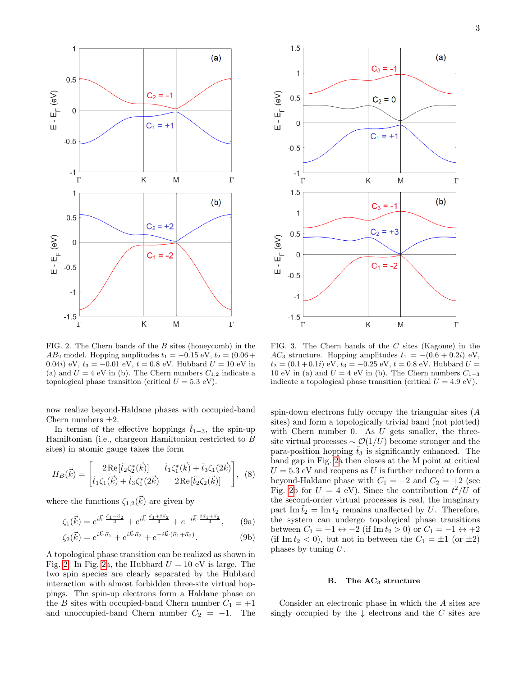

<span id="page-2-0"></span>FIG. 2. The Chern bands of the B sites (honeycomb) in the  $AB_2$  model. Hopping amplitudes  $t_1 = -0.15 \text{ eV}, t_2 = (0.06 +$ 0.04i) eV,  $t_3 = -0.01$  eV,  $t = 0.8$  eV. Hubbard  $U = 10$  eV in (a) and  $U = 4$  eV in (b). The Chern numbers  $C_{1,2}$  indicate a topological phase transition (critical  $U = 5.3$  eV).

now realize beyond-Haldane phases with occupied-band Chern numbers  $\pm 2$ .

In terms of the effective hoppings  $t_{1-3}$ , the spin-up Hamiltonian (i.e., chargeon Hamiltonian restricted to B sites) in atomic gauge takes the form

$$
H_B(\vec{k}) = \begin{bmatrix} 2\operatorname{Re}[\tilde{t}_2\zeta_2^*(\vec{k})] & \tilde{t}_1\zeta_1^*(\vec{k}) + \tilde{t}_3\zeta_1(2\vec{k})\\ \tilde{t}_1\zeta_1(\vec{k}) + \tilde{t}_3\zeta_1^*(2\vec{k}) & 2\operatorname{Re}[\tilde{t}_2\zeta_2(\vec{k})] \end{bmatrix}, (8)
$$

where the functions  $\zeta_{1,2}(\vec{k})$  are given by

$$
\zeta_1(\vec{k}) = e^{i\vec{k}\cdot\frac{\vec{a}_1 - \vec{a}_2}{3}} + e^{i\vec{k}\cdot\frac{\vec{a}_1 + 2\vec{a}_2}{3}} + e^{-i\vec{k}\cdot\frac{2\vec{a}_1 + \vec{a}_2}{3}},\qquad(9a)
$$

$$
\zeta_2(\vec{k}) = e^{i\vec{k}\cdot\vec{a}_1} + e^{i\vec{k}\cdot\vec{a}_2} + e^{-i\vec{k}\cdot(\vec{a}_1 + \vec{a}_2)}.
$$
\n(9b)

A topological phase transition can be realized as shown in Fig. [2.](#page-2-0) In Fig. [2a](#page-2-0), the Hubbard  $U = 10$  eV is large. The two spin species are clearly separated by the Hubbard interaction with almost forbidden three-site virtual hoppings. The spin-up electrons form a Haldane phase on the B sites with occupied-band Chern number  $C_1 = +1$ and unoccupied-band Chern number  $C_2 = -1$ . The



<span id="page-2-1"></span>FIG. 3. The Chern bands of the C sites (Kagome) in the AC<sub>3</sub> structure. Hopping amplitudes  $t_1 = -(0.6 + 0.2i)$  eV,  $t_2 = (0.1 + 0.1i)$  eV,  $t_3 = -0.25$  eV,  $t = 0.8$  eV. Hubbard  $U =$ 10 eV in (a) and  $U = 4$  eV in (b). The Chern numbers  $C_{1-3}$ indicate a topological phase transition (critical  $U = 4.9 \text{ eV}$ ).

spin-down electrons fully occupy the triangular sites (A sites) and form a topologically trivial band (not plotted) with Chern number 0. As  $U$  gets smaller, the threesite virtual processes  $\sim \mathcal{O}(1/U)$  become stronger and the para-position hopping  $\tilde{t}_3$  is significantly enhanced. The band gap in Fig. [2a](#page-2-0) then closes at the M point at critical  $U = 5.3$  eV and reopens as U is further reduced to form a beyond-Haldane phase with  $C_1 = -2$  and  $C_2 = +2$  (see Fig. [2b](#page-2-0) for  $U = 4$  eV). Since the contribution  $t^2/U$  of the second-order virtual processes is real, the imaginary part Im  $\tilde{t}_2 = \text{Im } t_2$  remains unaffected by U. Therefore, the system can undergo topological phase transitions between  $C_1 = +1 \leftrightarrow -2$  (if Im  $t_2 > 0$ ) or  $C_1 = -1 \leftrightarrow +2$ (if Im  $t_2$  < 0), but not in between the  $C_1 = \pm 1$  (or  $\pm 2$ ) phases by tuning U.

## <span id="page-2-2"></span>B. The  $AC<sub>3</sub>$  structure

Consider an electronic phase in which the A sites are singly occupied by the  $\downarrow$  electrons and the C sites are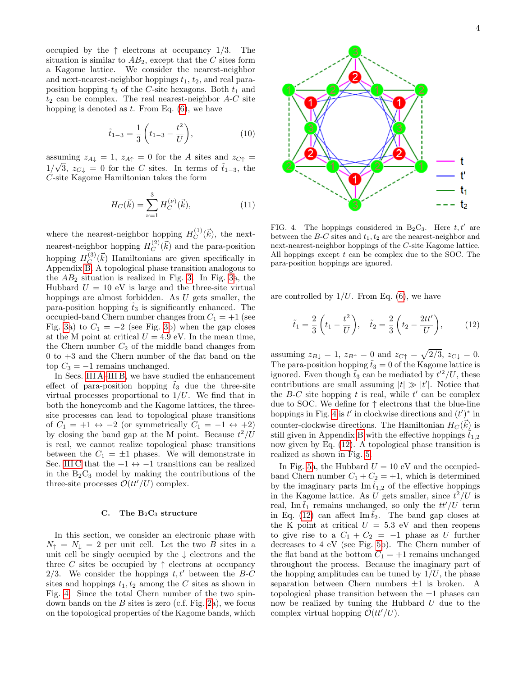occupied by the  $\uparrow$  electrons at occupancy 1/3. The situation is similar to  $AB_2$ , except that the C sites form a Kagome lattice. We consider the nearest-neighbor and next-nearest-neighbor hoppings  $t_1$ ,  $t_2$ , and real paraposition hopping  $t_3$  of the C-site hexagons. Both  $t_1$  and  $t_2$  can be complex. The real nearest-neighbor  $A-C$  site hopping is denoted as  $t$ . From Eq.  $(6)$ , we have

$$
\tilde{t}_{1-3} = \frac{1}{3} \left( t_{1-3} - \frac{t^2}{U} \right),\tag{10}
$$

assuming  $z_{A\downarrow} = 1$ ,  $z_{A\uparrow} = 0$  for the A sites and  $z_{C\uparrow} =$  $1/\sqrt{3}$ ,  $z_{C\downarrow} = 0$  for the C sites. In terms of  $\tilde{t}_{1-3}$ , the C-site Kagome Hamiltonian takes the form

$$
H_C(\vec{k}) = \sum_{\nu=1}^{3} H_C^{(\nu)}(\vec{k}), \tag{11}
$$

where the nearest-neighbor hopping  $H_C^{(1)}$  $C^{(1)}(\vec{k})$ , the nextnearest-neighbor hopping  $H_C^{(2)}$  $C^{(2)}(\vec{k})$  and the para-position hopping  $H_C^{(3)}$  $_C^{(3)}(\vec{k})$  Hamiltonians are given specifically in Appendix [B.](#page-5-1) A topological phase transition analogous to the  $AB_2$  situation is realized in Fig. [3.](#page-2-1) In Fig. [3a](#page-2-1), the Hubbard  $U = 10$  eV is large and the three-site virtual hoppings are almost forbidden. As U gets smaller, the para-position hopping  $\tilde{t}_3$  is significantly enhanced. The occupied-band Chern number changes from  $C_1 = +1$  (see Fig. [3a](#page-2-1)) to  $C_1 = -2$  (see Fig. [3b](#page-2-1)) when the gap closes at the M point at critical  $U = 4.9$  eV. In the mean time, the Chern number  $C_2$  of the middle band changes from 0 to +3 and the Chern number of the flat band on the top  $C_3 = -1$  remains unchanged.

In Secs. [III A](#page-1-5)[–III B,](#page-2-2) we have studied the enhancement effect of para-position hopping  $\tilde{t}_3$  due the three-site virtual processes proportional to  $1/U$ . We find that in both the honeycomb and the Kagome lattices, the threesite processes can lead to topological phase transitions of  $C_1 = +1 \leftrightarrow -2$  (or symmetrically  $C_1 = -1 \leftrightarrow +2$ ) by closing the band gap at the M point. Because  $t^2/U$ is real, we cannot realize topological phase transitions between the  $C_1 = \pm 1$  phases. We will demonstrate in Sec. [III C](#page-3-0) that the  $+1 \leftrightarrow -1$  transitions can be realized in the  $B_2C_3$  model by making the contributions of the three-site processes  $\mathcal{O}(tt'/U)$  complex.

### <span id="page-3-0"></span>C. The  $B_2C_3$  structure

In this section, we consider an electronic phase with  $N_{\uparrow} = N_{\downarrow} = 2$  per unit cell. Let the two B sites in a unit cell be singly occupied by the ↓ electrons and the three C sites be occupied by  $\uparrow$  electrons at occupancy 2/3. We consider the hoppings  $t, t'$  between the B-C sites and hoppings  $t_1, t_2$  among the C sites as shown in Fig. [4.](#page-3-1) Since the total Chern number of the two spindown bands on the  $B$  sites is zero (c.f. Fig. [2a](#page-2-0)), we focus on the topological properties of the Kagome bands, which



<span id="page-3-3"></span><span id="page-3-1"></span>FIG. 4. The hoppings considered in  $B_2C_3$ . Here  $t, t'$  are between the  $B-C$  sites and  $t_1, t_2$  are the nearest-neighbor and next-nearest-neighbor hoppings of the C-site Kagome lattice. All hoppings except  $t$  can be complex due to the SOC. The para-position hoppings are ignored.

are controlled by  $1/U$ . From Eq. [\(6\)](#page-1-3), we have

<span id="page-3-2"></span>
$$
\tilde{t}_1 = \frac{2}{3} \left( t_1 - \frac{t^2}{U} \right), \quad \tilde{t}_2 = \frac{2}{3} \left( t_2 - \frac{2tt'}{U} \right),
$$
\n(12)

assuming  $z_{B\downarrow} = 1$ ,  $z_{B\uparrow} = 0$  and  $z_{C\uparrow} = \sqrt{2/3}$ ,  $z_{C\downarrow} = 0$ . The para-position hopping  $\tilde{t}_3 = 0$  of the Kagome lattice is ignored. Even though  $\tilde{t}_3$  can be mediated by  $t'^2/U$ , these contributions are small assuming  $|t| \gg |t'|$ . Notice that the  $B-C$  site hopping t is real, while  $t'$  can be complex due to SOC. We define for  $\uparrow$  electrons that the blue-line hoppings in Fig. [4](#page-3-1) is  $t'$  in clockwise directions and  $(t')^*$  in counter-clockwise directions. The Hamiltonian  $H_C(\vec{k})$  is still given in Appendix [B](#page-5-1) with the effective hoppings  $\tilde{t}_{1,2}$ now given by Eq. [\(12\)](#page-3-2). A topological phase transition is realized as shown in Fig. [5.](#page-4-1)

In Fig. [5a](#page-4-1), the Hubbard  $U = 10$  eV and the occupiedband Chern number  $C_1 + C_2 = +1$ , which is determined by the imaginary parts  $\text{Im } \tilde{t}_{1,2}$  of the effective hoppings in the Kagome lattice. As U gets smaller, since  $t^2/U$  is real, Im  $\tilde{t}_1$  remains unchanged, so only the  $tt'/U$  term in Eq. [\(12\)](#page-3-2) can affect  $\text{Im } t_2$ . The band gap closes at the K point at critical  $U = 5.3$  eV and then reopens to give rise to a  $C_1 + C_2 = -1$  phase as U further decreases to 4 eV (see Fig. [5b](#page-4-1)). The Chern number of the flat band at the bottom  $C_1 = +1$  remains unchanged throughout the process. Because the imaginary part of the hopping amplitudes can be tuned by  $1/U$ , the phase separation between Chern numbers  $\pm 1$  is broken. A topological phase transition between the  $\pm 1$  phases can now be realized by tuning the Hubbard  $U$  due to the complex virtual hopping  $\mathcal{O}(tt'/U)$ .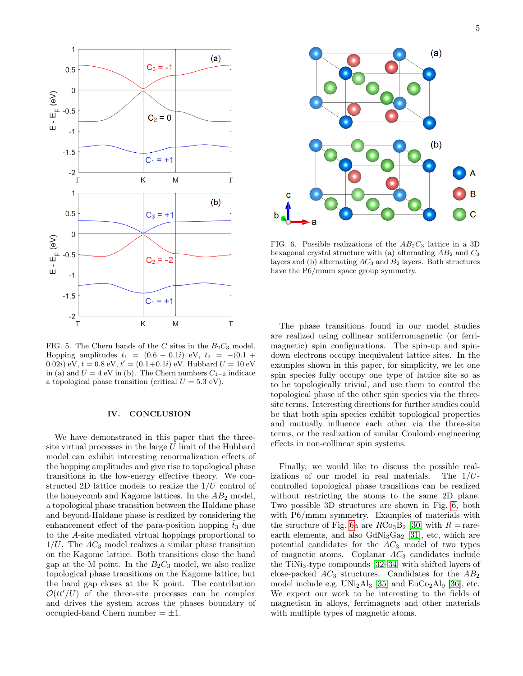

<span id="page-4-1"></span>FIG. 5. The Chern bands of the C sites in the  $B_2C_3$  model. Hopping amplitudes  $t_1 = (0.6 - 0.1i)$  eV,  $t_2 = -(0.1 +$ 0.02*i*) eV,  $t = 0.8$  eV,  $t' = (0.1+0.1i)$  eV. Hubbard  $U = 10$  eV in (a) and  $U = 4$  eV in (b). The Chern numbers  $C_{1-3}$  indicate a topological phase transition (critical  $U = 5.3$  eV).

#### <span id="page-4-0"></span>IV. CONCLUSION

We have demonstrated in this paper that the threesite virtual processes in the large  $U$  limit of the Hubbard model can exhibit interesting renormalization effects of the hopping amplitudes and give rise to topological phase transitions in the low-energy effective theory. We constructed 2D lattice models to realize the  $1/U$  control of the honeycomb and Kagome lattices. In the  $AB_2$  model, a topological phase transition between the Haldane phase and beyond-Haldane phase is realized by considering the enhancement effect of the para-position hopping  $\tilde{t}_3$  due to the A-site mediated virtual hoppings proportional to  $1/U$ . The  $AC_3$  model realizes a similar phase transition on the Kagome lattice. Both transitions close the band gap at the M point. In the  $B_2C_3$  model, we also realize topological phase transitions on the Kagome lattice, but the band gap closes at the K point. The contribution  $\mathcal{O}(tt'/U)$  of the three-site processes can be complex and drives the system across the phases boundary of occupied-band Chern number  $= \pm 1$ .



<span id="page-4-2"></span>FIG. 6. Possible realizations of the  $AB_2C_3$  lattice in a 3D hexagonal crystal structure with (a) alternating  $AB_2$  and  $C_3$ layers and (b) alternating  $AC_3$  and  $B_2$  layers. Both structures have the P6/mmm space group symmetry.

The phase transitions found in our model studies are realized using collinear antiferromagnetic (or ferrimagnetic) spin configurations. The spin-up and spindown electrons occupy inequivalent lattice sites. In the examples shown in this paper, for simplicity, we let one spin species fully occupy one type of lattice site so as to be topologically trivial, and use them to control the topological phase of the other spin species via the threesite terms. Interesting directions for further studies could be that both spin species exhibit topological properties and mutually influence each other via the three-site terms, or the realization of similar Coulomb engineering effects in non-collinear spin systems.

Finally, we would like to discuss the possible realizations of our model in real materials. The  $1/U$ controlled topological phase transitions can be realized without restricting the atoms to the same 2D plane. Two possible 3D structures are shown in Fig. [6,](#page-4-2) both with P6/mmm symmetry. Examples of materials with the structure of Fig. [6a](#page-4-2) are  $R\text{Co}_3\text{B}_2$  [\[30\]](#page-7-6) with  $R = \text{rare}$ earth elements, and also  $GdNi<sub>3</sub>Ga<sub>2</sub>$  [\[31\]](#page-7-7), etc, which are potential candidates for the  $AC_3$  model of two types of magnetic atoms. Coplanar  $AC_3$  candidates include the TiNi<sub>3</sub>-type compounds  $[32-34]$  $[32-34]$  with shifted layers of close-packed  $AC_3$  structures. Candidates for the  $AB_2$ model include e.g.  $UNi<sub>2</sub>Al<sub>3</sub>$  [\[35\]](#page-7-10) and EuCo<sub>2</sub>Al<sub>9</sub> [\[36\]](#page-7-11), etc. We expect our work to be interesting to the fields of magnetism in alloys, ferrimagnets and other materials with multiple types of magnetic atoms.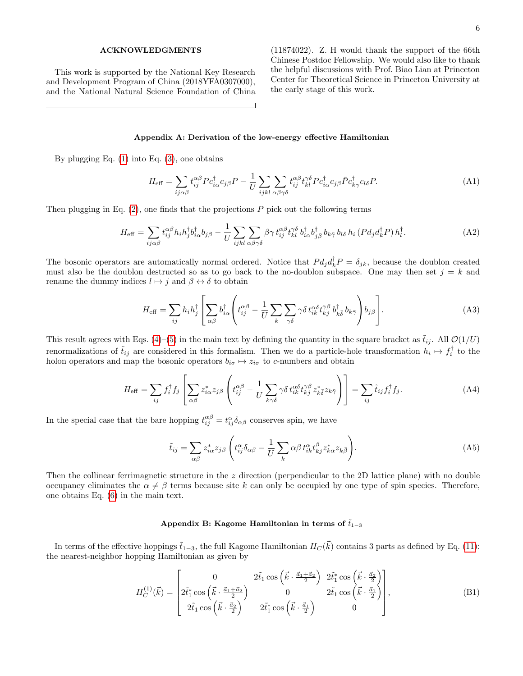### ACKNOWLEDGMENTS

This work is supported by the National Key Research and Development Program of China (2018YFA0307000), and the National Natural Science Foundation of China

(11874022). Z. H would thank the support of the 66th Chinese Postdoc Fellowship. We would also like to thank the helpful discussions with Prof. Biao Lian at Princeton Center for Theoretical Science in Princeton University at the early stage of this work.

### <span id="page-5-0"></span>Appendix A: Derivation of the low-energy effective Hamiltonian

By plugging Eq.  $(1)$  into Eq.  $(3)$ , one obtains

$$
H_{\text{eff}} = \sum_{ij\alpha\beta} t_{ij}^{\alpha\beta} P c_{i\alpha}^{\dagger} c_{j\beta} P - \frac{1}{U} \sum_{ijkl} \sum_{\alpha\beta\gamma\delta} t_{ij}^{\alpha\beta} t_{kl}^{\gamma\delta} P c_{i\alpha}^{\dagger} c_{j\beta} \bar{P} c_{k\gamma}^{\dagger} c_{l\delta} P. \tag{A1}
$$

Then plugging in Eq.  $(2)$ , one finds that the projections  $P$  pick out the following terms

$$
H_{\text{eff}} = \sum_{ij\alpha\beta} t_{ij}^{\alpha\beta} h_i h_j^{\dagger} b_{i\alpha}^{\dagger} b_{j\beta} - \frac{1}{U} \sum_{ijkl} \sum_{\alpha\beta\gamma\delta} \beta\gamma t_{ij}^{\alpha\beta} t_{kl}^{\gamma\delta} b_{i\alpha}^{\dagger} b_{j\bar{\beta}}^{\dagger} b_{k\bar{\gamma}} b_{l\delta} h_i (P d_j d_k^{\dagger} P) h_l^{\dagger}.
$$
 (A2)

The bosonic operators are automatically normal ordered. Notice that  $P d_j d_k^{\dagger} P = \delta_{jk}$ , because the doublon created must also be the doublon destructed so as to go back to the no-doublon subspace. One may then set  $j = k$  and rename the dummy indices  $l \mapsto j$  and  $\beta \leftrightarrow \delta$  to obtain

$$
H_{\text{eff}} = \sum_{ij} h_i h_j^{\dagger} \left[ \sum_{\alpha\beta} b_{i\alpha}^{\dagger} \left( t_{ij}^{\alpha\beta} - \frac{1}{U} \sum_k \sum_{\gamma\delta} \gamma\delta t_{ik}^{\alpha\delta} t_{kj}^{\gamma\beta} b_{k\bar{\delta}}^{\dagger} b_{k\bar{\gamma}} \right) b_{j\beta} \right]. \tag{A3}
$$

This result agrees with Eqs. [\(4\)](#page-1-1)–[\(5\)](#page-1-2) in the main text by defining the quantity in the square bracket as  $\tilde{t}_{ij}$ . All  $\mathcal{O}(1/U)$ renormalizations of  $\tilde{t}_{ij}$  are considered in this formalism. Then we do a particle-hole transformation  $h_i \mapsto f_i^{\dagger}$  to the holon operators and map the bosonic operators  $b_{i\sigma} \mapsto z_{i\sigma}$  to c-numbers and obtain

$$
H_{\text{eff}} = \sum_{ij} f_i^{\dagger} f_j \left[ \sum_{\alpha \beta} z_{i\alpha}^* z_{j\beta} \left( t_{ij}^{\alpha \beta} - \frac{1}{U} \sum_{k\gamma \delta} \gamma \delta t_{ik}^{\alpha \delta} t_{kj}^{\gamma \beta} z_{k\bar{\delta}}^* z_{k\bar{\gamma}} \right) \right] = \sum_{ij} \tilde{t}_{ij} f_i^{\dagger} f_j.
$$
 (A4)

In the special case that the bare hopping  $t_{ij}^{\alpha\beta} = t_{ij}^{\alpha} \delta_{\alpha\beta}$  conserves spin, we have

$$
\tilde{t}_{ij} = \sum_{\alpha\beta} z_{i\alpha}^* z_{j\beta} \left( t_{ij}^\alpha \delta_{\alpha\beta} - \frac{1}{U} \sum_k \alpha\beta \, t_{ik}^\alpha t_{kj}^\beta z_{k\bar{\alpha}}^* z_{k\bar{\beta}} \right). \tag{A5}
$$

Then the collinear ferrimagnetic structure in the z direction (perpendicular to the 2D lattice plane) with no double occupancy eliminates the  $\alpha \neq \beta$  terms because site k can only be occupied by one type of spin species. Therefore, one obtains Eq. [\(6\)](#page-1-3) in the main text.

## <span id="page-5-1"></span>Appendix B: Kagome Hamiltonian in terms of  $\tilde{t}_{1-3}$

In terms of the effective hoppings  $\tilde{t}_{1-3}$ , the full Kagome Hamiltonian  $H_C(\vec{k})$  contains 3 parts as defined by Eq. [\(11\)](#page-3-3): the nearest-neighbor hopping Hamiltonian as given by

$$
H_C^{(1)}(\vec{k}) = \begin{bmatrix} 0 & 2\tilde{t}_1 \cos\left(\vec{k}\cdot\frac{\vec{a}_1+\vec{a}_2}{2}\right) & 2\tilde{t}_1^* \cos\left(\vec{k}\cdot\frac{\vec{a}_2}{2}\right) \\ 2\tilde{t}_1^* \cos\left(\vec{k}\cdot\frac{\vec{a}_1+\vec{a}_2}{2}\right) & 0 & 2\tilde{t}_1 \cos\left(\vec{k}\cdot\frac{\vec{a}_1}{2}\right) \\ 2\tilde{t}_1 \cos\left(\vec{k}\cdot\frac{\vec{a}_2}{2}\right) & 2\tilde{t}_1^* \cos\left(\vec{k}\cdot\frac{\vec{a}_1}{2}\right) & 0 \end{bmatrix},
$$
\n(B1)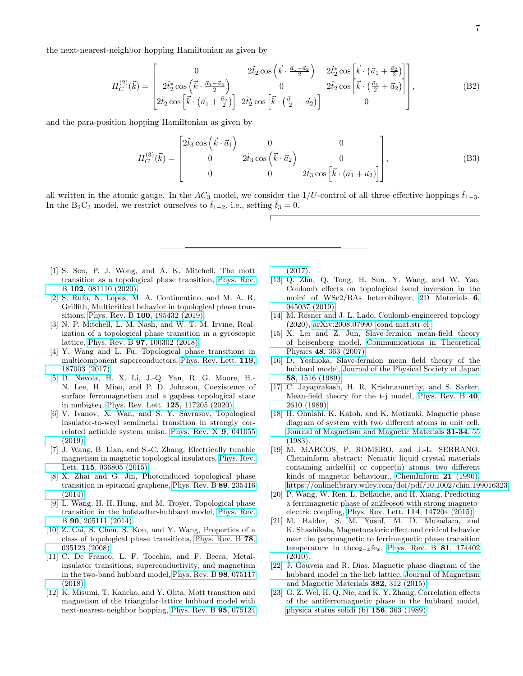the next-nearest-neighbor hopping Hamiltonian as given by

$$
H_C^{(2)}(\vec{k}) = \begin{bmatrix} 0 & 2\tilde{t}_2 \cos\left(\vec{k}\cdot\frac{\vec{a}_1-\vec{a}_2}{2}\right) & 2\tilde{t}_2^* \cos\left(\vec{k}\cdot\left(\vec{a}_1+\frac{\vec{a}_2}{2}\right)\right) \\ 2\tilde{t}_2 \cos\left(\vec{k}\cdot\frac{\vec{a}_1-\vec{a}_2}{2}\right) & 0 & 2\tilde{t}_2 \cos\left(\vec{k}\cdot\left(\frac{\vec{a}_1}{2}+\vec{a}_2\right)\right] \\ 2\tilde{t}_2 \cos\left[\vec{k}\cdot\left(\vec{a}_1+\frac{\vec{a}_2}{2}\right)\right] & 2\tilde{t}_2^* \cos\left(\vec{k}\cdot\left(\frac{\vec{a}_1}{2}+\vec{a}_2\right)\right] & 0 \end{bmatrix},\tag{B2}
$$

and the para-position hopping Hamiltonian as given by

$$
H_C^{(3)}(\vec{k}) = \begin{bmatrix} 2\tilde{t}_3 \cos(\vec{k} \cdot \vec{a}_1) & 0 & 0 \\ 0 & 2\tilde{t}_3 \cos(\vec{k} \cdot \vec{a}_2) & 0 \\ 0 & 0 & 2\tilde{t}_3 \cos(\vec{k} \cdot (\vec{a}_1 + \vec{a}_2)) \end{bmatrix},
$$
(B3)

all written in the atomic gauge. In the  $AC_3$  model, we consider the 1/U-control of all three effective hoppings  $t_{1-3}$ . In the B<sub>2</sub>C<sub>3</sub> model, we restrict ourselves to  $\tilde{t}_{1-2}$ , i.e., setting  $\tilde{t}_3 = 0$ .

- <span id="page-6-0"></span>[1] S. Sen, P. J. Wong, and A. K. Mitchell, The mott transition as a topological phase transition, [Phys. Rev.](https://doi.org/10.1103/PhysRevB.102.081110) B 102[, 081110 \(2020\).](https://doi.org/10.1103/PhysRevB.102.081110)
- [2] S. Rufo, N. Lopes, M. A. Continentino, and M. A. R. Griffith, Multicritical behavior in topological phase transitions, Phys. Rev. B 100[, 195432 \(2019\).](https://doi.org/10.1103/PhysRevB.100.195432)
- [3] N. P. Mitchell, L. M. Nash, and W. T. M. Irvine, Realization of a topological phase transition in a gyroscopic lattice, Phys. Rev. B 97[, 100302 \(2018\).](https://doi.org/10.1103/PhysRevB.97.100302)
- <span id="page-6-1"></span>[4] Y. Wang and L. Fu, Topological phase transitions in multicomponent superconductors, [Phys. Rev. Lett.](https://doi.org/10.1103/PhysRevLett.119.187003) 119, [187003 \(2017\).](https://doi.org/10.1103/PhysRevLett.119.187003)
- <span id="page-6-2"></span>[5] D. Nevola, H. X. Li, J.-Q. Yan, R. G. Moore, H.- N. Lee, H. Miao, and P. D. Johnson, Coexistence of surface ferromagnetism and a gapless topological state in mnbi<sub>2</sub>te<sub>4</sub>, [Phys. Rev. Lett.](https://doi.org/10.1103/PhysRevLett.125.117205) **125**, 117205 (2020).
- <span id="page-6-8"></span>[6] V. Ivanov, X. Wan, and S. Y. Savrasov, Topological insulator-to-weyl semimetal transition in strongly correlated actinide system unisn, [Phys. Rev. X](https://doi.org/10.1103/PhysRevX.9.041055) 9, 041055 [\(2019\).](https://doi.org/10.1103/PhysRevX.9.041055)
- <span id="page-6-3"></span>[7] J. Wang, B. Lian, and S.-C. Zhang, Electrically tunable magnetism in magnetic topological insulators, [Phys. Rev.](https://doi.org/10.1103/PhysRevLett.115.036805) Lett. **115**[, 036805 \(2015\).](https://doi.org/10.1103/PhysRevLett.115.036805)
- <span id="page-6-4"></span>[8] X. Zhai and G. Jin, Photoinduced topological phase transition in epitaxial graphene, [Phys. Rev. B](https://doi.org/10.1103/PhysRevB.89.235416) 89, 235416 [\(2014\).](https://doi.org/10.1103/PhysRevB.89.235416)
- [9] L. Wang, H.-H. Hung, and M. Troyer, Topological phase transition in the hofstadter-hubbard model, [Phys. Rev.](https://doi.org/10.1103/PhysRevB.90.205111) B 90[, 205111 \(2014\).](https://doi.org/10.1103/PhysRevB.90.205111)
- <span id="page-6-5"></span>[10] Z. Cai, S. Chen, S. Kou, and Y. Wang, Properties of a class of topological phase transitions, [Phys. Rev. B](https://doi.org/10.1103/PhysRevB.78.035123) 78, [035123 \(2008\).](https://doi.org/10.1103/PhysRevB.78.035123)
- <span id="page-6-6"></span>[11] C. De Franco, L. F. Tocchio, and F. Becca, Metalinsulator transitions, superconductivity, and magnetism in the two-band hubbard model, [Phys. Rev. B](https://doi.org/10.1103/PhysRevB.98.075117) 98, 075117 [\(2018\).](https://doi.org/10.1103/PhysRevB.98.075117)
- <span id="page-6-7"></span>[12] K. Misumi, T. Kaneko, and Y. Ohta, Mott transition and magnetism of the triangular-lattice hubbard model with next-nearest-neighbor hopping, [Phys. Rev. B](https://doi.org/10.1103/PhysRevB.95.075124) 95, 075124

[\(2017\).](https://doi.org/10.1103/PhysRevB.95.075124)

- <span id="page-6-9"></span>[13] Q. Zhu, Q. Tong, H. Sun, Y. Wang, and W. Yao, Coulomb effects on topological band inversion in the moiré of WSe2/BAs heterobilayer, [2D Materials](https://doi.org/10.1088/2053-1583/ab38d4) 6, [045037 \(2019\).](https://doi.org/10.1088/2053-1583/ab38d4)
- <span id="page-6-10"></span>[14] M. Rösner and J. L. Lado, Coulomb-engineered topology (2020), [arXiv:2008.07990 \[cond-mat.str-el\].](https://arxiv.org/abs/2008.07990)
- <span id="page-6-11"></span>[15] X. Lei and Z. Jun, Slave-fermion mean-field theory of heisenberg model, [Communications in Theoretical](https://doi.org/10.1088/0253-6102/48/2/032) Physics 48[, 363 \(2007\).](https://doi.org/10.1088/0253-6102/48/2/032)
- [16] D. Yoshioka, Slave-fermion mean field theory of the hubbard model, [Journal of the Physical Society of Japan](https://doi.org/10.1143/JPSJ.58.1516) 58[, 1516 \(1989\).](https://doi.org/10.1143/JPSJ.58.1516)
- <span id="page-6-12"></span>[17] C. Jayaprakash, H. R. Krishnamurthy, and S. Sarker, Mean-field theory for the t-j model, [Phys. Rev. B](https://doi.org/10.1103/PhysRevB.40.2610) 40, [2610 \(1989\).](https://doi.org/10.1103/PhysRevB.40.2610)
- <span id="page-6-13"></span>[18] H. Ohnishi, K. Katoh, and K. Motizuki, Magnetic phase diagram of system with two different atoms in unit cell, [Journal of Magnetism and Magnetic Materials](https://doi.org/https://doi.org/10.1016/0304-8853(83)90150-6) 31-34, 55 [\(1983\).](https://doi.org/https://doi.org/10.1016/0304-8853(83)90150-6)
- [19] M. MARCOS, P. ROMERO, and J.-L. SERRANO, Cheminform abstract: Nematic liquid crystal materials containing nickel(ii) or copper(ii) atoms. two different kinds of magnetic behaviour., [ChemInform](https://doi.org/https://doi.org/10.1002/chin.199016323) 21 (1990), [https://onlinelibrary.wiley.com/doi/pdf/10.1002/chin.199016323.](https://arxiv.org/abs/https://onlinelibrary.wiley.com/doi/pdf/10.1002/chin.199016323)
- [20] P. Wang, W. Ren, L. Bellaiche, and H. Xiang, Predicting a ferrimagnetic phase of zn2feoso6 with strong magnetoelectric coupling, [Phys. Rev. Lett.](https://doi.org/https://doi.org/10.1103/PhysRevLett.114.147204) 114, 147204 (2015).
- <span id="page-6-14"></span>[21] M. Halder, S. M. Yusuf, M. D. Mukadam, and K. Shashikala, Magnetocaloric effect and critical behavior near the paramagnetic to ferrimagnetic phase transition temperature in tbco<sub>2−x</sub>fe<sub>x</sub>, [Phys. Rev. B](https://doi.org/10.1103/PhysRevB.81.174402) 81, 174402 [\(2010\).](https://doi.org/10.1103/PhysRevB.81.174402)
- <span id="page-6-15"></span>[22] J. Gouveia and R. Dias, Magnetic phase diagram of the hubbard model in the lieb lattice, [Journal of Magnetism](https://doi.org/https://doi.org/10.1016/j.jmmm.2015.02.005) [and Magnetic Materials](https://doi.org/https://doi.org/10.1016/j.jmmm.2015.02.005) 382, 312 (2015).
- <span id="page-6-16"></span>[23] G. Z. Wel, H. Q. Nie, and K. Y. Zhang, Correlation effects of the antiferromagnetic phase in the hubbard model, [physica status solidi \(b\)](https://doi.org/https://doi.org/10.1002/pssb.2221560137) 156, 363 (1989).